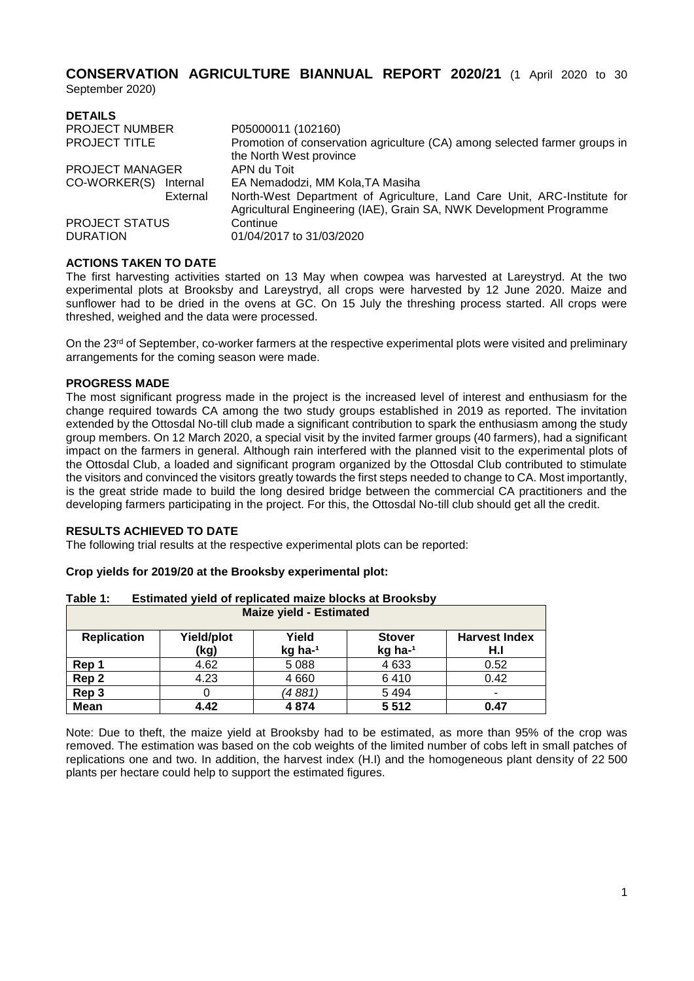**CONSERVATION AGRICULTURE BIANNUAL REPORT 2020/21** (1 April 2020 to 30

September 2020)

| <b>DETAILS</b>                           |                                                                                                                                                |
|------------------------------------------|------------------------------------------------------------------------------------------------------------------------------------------------|
| <b>PROJECT NUMBER</b>                    | P05000011 (102160)                                                                                                                             |
| <b>PROJECT TITLE</b>                     | Promotion of conservation agriculture (CA) among selected farmer groups in<br>the North West province                                          |
| <b>PROJECT MANAGER</b>                   | APN du Toit                                                                                                                                    |
| CO-WORKER(S)<br>Internal                 | EA Nemadodzi, MM Kola, TA Masiha                                                                                                               |
| External                                 | North-West Department of Agriculture, Land Care Unit, ARC-Institute for<br>Agricultural Engineering (IAE), Grain SA, NWK Development Programme |
| <b>PROJECT STATUS</b><br><b>DURATION</b> | Continue<br>01/04/2017 to 31/03/2020                                                                                                           |

### **ACTIONS TAKEN TO DATE**

The first harvesting activities started on 13 May when cowpea was harvested at Lareystryd. At the two experimental plots at Brooksby and Lareystryd, all crops were harvested by 12 June 2020. Maize and sunflower had to be dried in the ovens at GC. On 15 July the threshing process started. All crops were threshed, weighed and the data were processed.

On the 23<sup>rd</sup> of September, co-worker farmers at the respective experimental plots were visited and preliminary arrangements for the coming season were made.

#### **PROGRESS MADE**

The most significant progress made in the project is the increased level of interest and enthusiasm for the change required towards CA among the two study groups established in 2019 as reported. The invitation extended by the Ottosdal No-till club made a significant contribution to spark the enthusiasm among the study group members. On 12 March 2020, a special visit by the invited farmer groups (40 farmers), had a significant impact on the farmers in general. Although rain interfered with the planned visit to the experimental plots of the Ottosdal Club, a loaded and significant program organized by the Ottosdal Club contributed to stimulate the visitors and convinced the visitors greatly towards the first steps needed to change to CA. Most importantly, is the great stride made to build the long desired bridge between the commercial CA practitioners and the developing farmers participating in the project. For this, the Ottosdal No-till club should get all the credit.

# **RESULTS ACHIEVED TO DATE**

The following trial results at the respective experimental plots can be reported:

#### **Crop yields for 2019/20 at the Brooksby experimental plot:**

| <b>Maize yield - Estimated</b> |                    |                  |                          |                             |
|--------------------------------|--------------------|------------------|--------------------------|-----------------------------|
| <b>Replication</b>             | Yield/plot<br>(kg) | Yield<br>kg ha-1 | <b>Stover</b><br>kg ha-1 | <b>Harvest Index</b><br>H.I |
| Rep 1                          | 4.62               | 5 0 8 8          | 4633                     | 0.52                        |
| Rep <sub>2</sub>               | 4.23               | 4660             | 6410                     | 0.42                        |
| Rep 3                          |                    | (4 881,          | 5 4 9 4                  |                             |
| <b>Mean</b>                    | 4.42               | 4874             | 5512                     | 0.47                        |

**Table 1: Estimated yield of replicated maize blocks at Brooksby**

Note: Due to theft, the maize yield at Brooksby had to be estimated, as more than 95% of the crop was removed. The estimation was based on the cob weights of the limited number of cobs left in small patches of replications one and two. In addition, the harvest index (H.I) and the homogeneous plant density of 22 500 plants per hectare could help to support the estimated figures.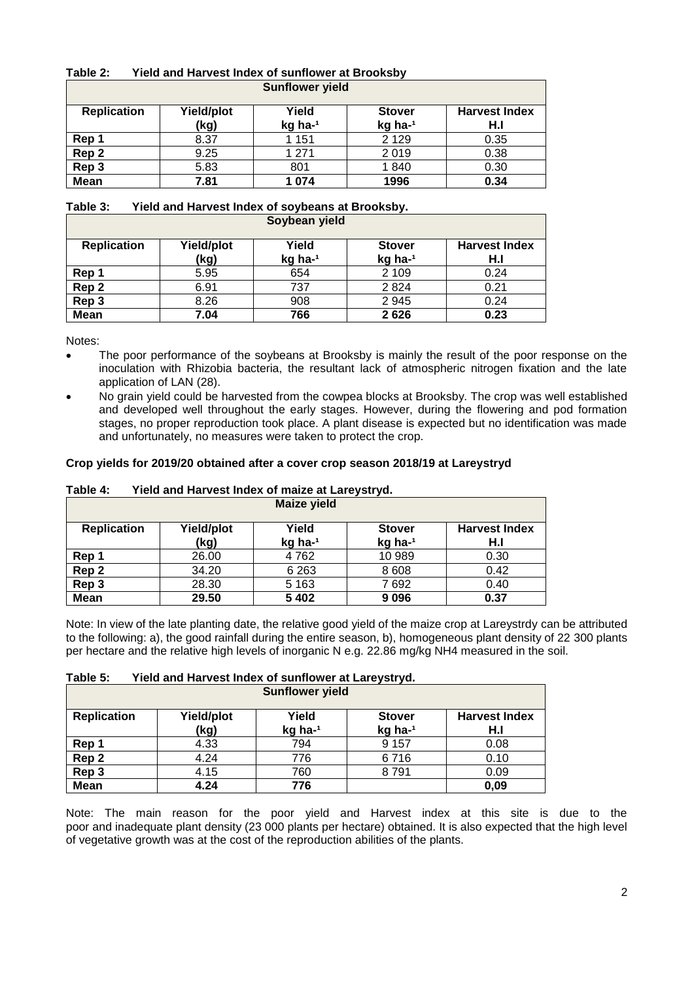| Table 2: | Yield and Harvest Index of sunflower at Brooksby |
|----------|--------------------------------------------------|
|          |                                                  |

|                    |                    | <b>Sunflower yield</b> |                          |                             |
|--------------------|--------------------|------------------------|--------------------------|-----------------------------|
| <b>Replication</b> | Yield/plot<br>(kg) | Yield<br>kg ha-1       | <b>Stover</b><br>kg ha-1 | <b>Harvest Index</b><br>H.I |
| Rep 1              | 8.37               | 1 151                  | 2 1 2 9                  | 0.35                        |
| Rep 2              | 9.25               | 1 2 7 1                | 2019                     | 0.38                        |
| Rep 3              | 5.83               | 801                    | 1840                     | 0.30                        |
| <b>Mean</b>        | 7.81               | 1 0 7 4                | 1996                     | 0.34                        |

# **Table 3: Yield and Harvest Index of soybeans at Brooksby.**

|                    |                    | Soybean yield    |                          |                             |
|--------------------|--------------------|------------------|--------------------------|-----------------------------|
| <b>Replication</b> | Yield/plot<br>(kg) | Yield<br>kg ha-1 | <b>Stover</b><br>kg ha-1 | <b>Harvest Index</b><br>H.I |
| Rep 1              | 5.95               | 654              | 2 1 0 9                  | 0.24                        |
| Rep <sub>2</sub>   | 6.91               | 737              | 2824                     | 0.21                        |
| Rep 3              | 8.26               | 908              | 2945                     | 0.24                        |
| <b>Mean</b>        | 7.04               | 766              | 2626                     | 0.23                        |

Notes:

- The poor performance of the soybeans at Brooksby is mainly the result of the poor response on the inoculation with Rhizobia bacteria, the resultant lack of atmospheric nitrogen fixation and the late application of LAN (28).
- No grain yield could be harvested from the cowpea blocks at Brooksby. The crop was well established and developed well throughout the early stages. However, during the flowering and pod formation stages, no proper reproduction took place. A plant disease is expected but no identification was made and unfortunately, no measures were taken to protect the crop.

# **Crop yields for 2019/20 obtained after a cover crop season 2018/19 at Lareystryd**

| <b>Maize yield</b> |                    |                  |                          |                             |
|--------------------|--------------------|------------------|--------------------------|-----------------------------|
| <b>Replication</b> | Yield/plot<br>(kg) | Yield<br>kg ha-1 | <b>Stover</b><br>kg ha-1 | <b>Harvest Index</b><br>H.I |
| Rep 1              | 26.00              | 4762             | 10 989                   | 0.30                        |
| Rep 2              | 34.20              | 6 2 6 3          | 8 6 0 8                  | 0.42                        |
| Rep 3              | 28.30              | 5 1 6 3          | 7692                     | 0.40                        |
| <b>Mean</b>        | 29.50              | 5 4 0 2          | 9096                     | 0.37                        |

# **Table 4: Yield and Harvest Index of maize at Lareystryd.**

Note: In view of the late planting date, the relative good yield of the maize crop at Lareystrdy can be attributed to the following: a), the good rainfall during the entire season, b), homogeneous plant density of 22 300 plants per hectare and the relative high levels of inorganic N e.g. 22.86 mg/kg NH4 measured in the soil.

# **Table 5: Yield and Harvest Index of sunflower at Lareystryd.**

| <b>Sunflower yield</b> |                    |                  |                          |                             |
|------------------------|--------------------|------------------|--------------------------|-----------------------------|
| <b>Replication</b>     | Yield/plot<br>(kg) | Yield<br>kg ha-1 | <b>Stover</b><br>kg ha-1 | <b>Harvest Index</b><br>H.I |
| Rep 1                  | 4.33               | 794              | 9 1 5 7                  | 0.08                        |
| Rep <sub>2</sub>       | 4.24               | 776              | 6716                     | 0.10                        |
| Rep 3                  | 4.15               | 760              | 8791                     | 0.09                        |
| <b>Mean</b>            | 4.24               | 776              |                          | 0,09                        |

Note: The main reason for the poor yield and Harvest index at this site is due to the poor and inadequate plant density (23 000 plants per hectare) obtained. It is also expected that the high level of vegetative growth was at the cost of the reproduction abilities of the plants.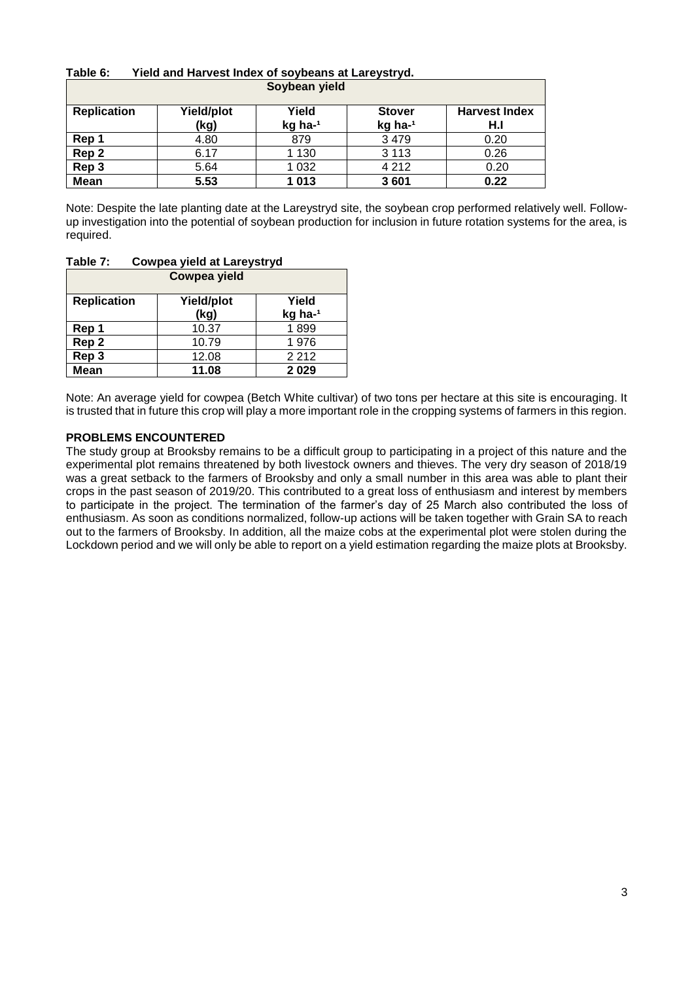| ι αυισ ν.          | Tigiu anu hai vest muež bi sovbeans at Laigvstivu. |               |               |                      |
|--------------------|----------------------------------------------------|---------------|---------------|----------------------|
|                    |                                                    | Soybean yield |               |                      |
|                    |                                                    |               |               |                      |
| <b>Replication</b> | Yield/plot                                         | Yield         | <b>Stover</b> | <b>Harvest Index</b> |
|                    | (kg)                                               | kg ha-1       | kg ha-1       | H.I                  |
| Rep 1              | 4.80                                               | 879           | 3 4 7 9       | 0.20                 |
| Rep 2              | 6.17                                               | 1 1 3 0       | 3 1 1 3       | 0.26                 |
| Rep 3              | 5.64                                               | 1 0 3 2       | 4 2 1 2       | 0.20                 |
| <b>Mean</b>        | 5.53                                               | 1013          | 3601          | 0.22                 |

# **Table 6: Yield and Harvest Index of soybeans at Lareystryd.**

Note: Despite the late planting date at the Lareystryd site, the soybean crop performed relatively well. Followup investigation into the potential of soybean production for inclusion in future rotation systems for the area, is required.

| <b>Cowpea yield</b> |                    |                  |  |
|---------------------|--------------------|------------------|--|
| <b>Replication</b>  | Yield/plot<br>(kg) | Yield<br>kg ha-1 |  |
| Rep 1               | 10.37              | 1899             |  |
| Rep 2               | 10.79              | 1976             |  |
| Rep 3               | 12.08              | 2 2 1 2          |  |
| Mean                | 11.08              | 2029             |  |

# **Table 7: Cowpea yield at Lareystryd**

Note: An average yield for cowpea (Betch White cultivar) of two tons per hectare at this site is encouraging. It is trusted that in future this crop will play a more important role in the cropping systems of farmers in this region.

#### **PROBLEMS ENCOUNTERED**

The study group at Brooksby remains to be a difficult group to participating in a project of this nature and the experimental plot remains threatened by both livestock owners and thieves. The very dry season of 2018/19 was a great setback to the farmers of Brooksby and only a small number in this area was able to plant their crops in the past season of 2019/20. This contributed to a great loss of enthusiasm and interest by members to participate in the project. The termination of the farmer's day of 25 March also contributed the loss of enthusiasm. As soon as conditions normalized, follow-up actions will be taken together with Grain SA to reach out to the farmers of Brooksby. In addition, all the maize cobs at the experimental plot were stolen during the Lockdown period and we will only be able to report on a yield estimation regarding the maize plots at Brooksby.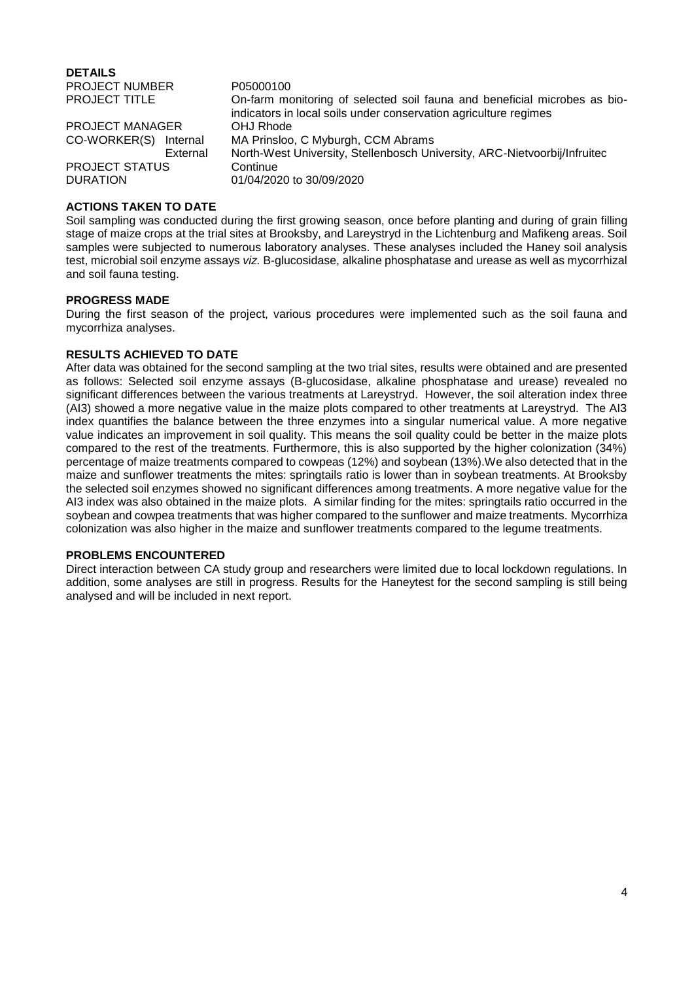**DETAILS** PROJECT NUMBER P05000100 On-farm monitoring of selected soil fauna and beneficial microbes as bioindicators in local soils under conservation agriculture regimes PROJECT MANAGER OHJ Rhode CO-WORKER(S) Internal MA Prinsloo, C Myburgh, CCM Abrams External North-West University, Stellenbosch University, ARC-Nietvoorbij/Infruitec PROJECT STATUS Continue DURATION 01/04/2020 to 30/09/2020

#### **ACTIONS TAKEN TO DATE**

Soil sampling was conducted during the first growing season, once before planting and during of grain filling stage of maize crops at the trial sites at Brooksby, and Lareystryd in the Lichtenburg and Mafikeng areas. Soil samples were subjected to numerous laboratory analyses. These analyses included the Haney soil analysis test, microbial soil enzyme assays *viz.* B-glucosidase, alkaline phosphatase and urease as well as mycorrhizal and soil fauna testing.

#### **PROGRESS MADE**

During the first season of the project, various procedures were implemented such as the soil fauna and mycorrhiza analyses.

#### **RESULTS ACHIEVED TO DATE**

After data was obtained for the second sampling at the two trial sites, results were obtained and are presented as follows: Selected soil enzyme assays (B-glucosidase, alkaline phosphatase and urease) revealed no significant differences between the various treatments at Lareystryd. However, the soil alteration index three (AI3) showed a more negative value in the maize plots compared to other treatments at Lareystryd. The AI3 index quantifies the balance between the three enzymes into a singular numerical value. A more negative value indicates an improvement in soil quality. This means the soil quality could be better in the maize plots compared to the rest of the treatments. Furthermore, this is also supported by the higher colonization (34%) percentage of maize treatments compared to cowpeas (12%) and soybean (13%).We also detected that in the maize and sunflower treatments the mites: springtails ratio is lower than in soybean treatments. At Brooksby the selected soil enzymes showed no significant differences among treatments. A more negative value for the AI3 index was also obtained in the maize plots. A similar finding for the mites: springtails ratio occurred in the soybean and cowpea treatments that was higher compared to the sunflower and maize treatments. Mycorrhiza colonization was also higher in the maize and sunflower treatments compared to the legume treatments.

#### **PROBLEMS ENCOUNTERED**

Direct interaction between CA study group and researchers were limited due to local lockdown regulations. In addition, some analyses are still in progress. Results for the Haneytest for the second sampling is still being analysed and will be included in next report.